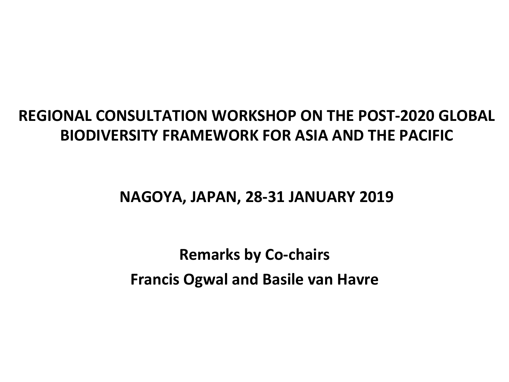### **REGIONAL CONSULTATION WORKSHOP ON THE POST-2020 GLOBAL BIODIVERSITY FRAMEWORK FOR ASIA AND THE PACIFIC**

**NAGOYA, JAPAN, 28-31 JANUARY 2019**

**Remarks by Co-chairs Francis Ogwal and Basile van Havre**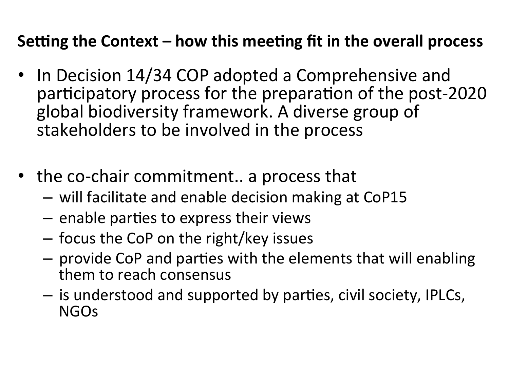## **Setting the Context – how this meeting fit in the overall process**

- In Decision 14/34 COP adopted a Comprehensive and participatory process for the preparation of the post-2020 global biodiversity framework. A diverse group of stakeholders to be involved in the process
- the co-chair commitment.. a process that
	- $-$  will facilitate and enable decision making at CoP15
	- $-$  enable parties to express their views
	- $-$  focus the CoP on the right/key issues
	- $-$  provide CoP and parties with the elements that will enabling them to reach consensus
	- $-$  is understood and supported by parties, civil society, IPLCs, NGOs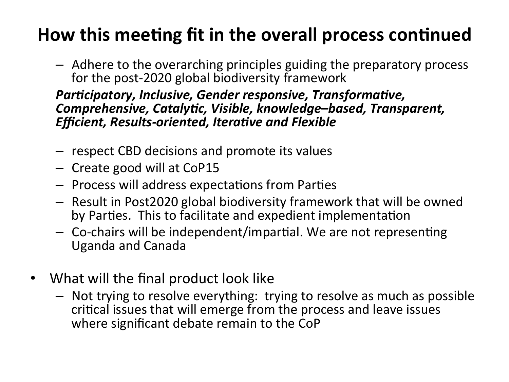# **How this meeting fit in the overall process continued**

 $-$  Adhere to the overarching principles guiding the preparatory process for the post-2020 global biodiversity framework

#### *Participatory, Inclusive, Gender responsive, Transformative,* **Comprehensive, Catalytic, Visible, knowledge-based, Transparent,** *Efficient, Results-oriented, Iterative and Flexible*

- $-$  respect CBD decisions and promote its values
- Create good will at CoP15
- $-$  Process will address expectations from Parties
- $-$  Result in Post2020 global biodiversity framework that will be owned by Parties. This to facilitate and expedient implementation
- $-$  Co-chairs will be independent/impartial. We are not representing Uganda and Canada
- What will the final product look like
	- $-$  Not trying to resolve everything: trying to resolve as much as possible critical issues that will emerge from the process and leave issues where significant debate remain to the CoP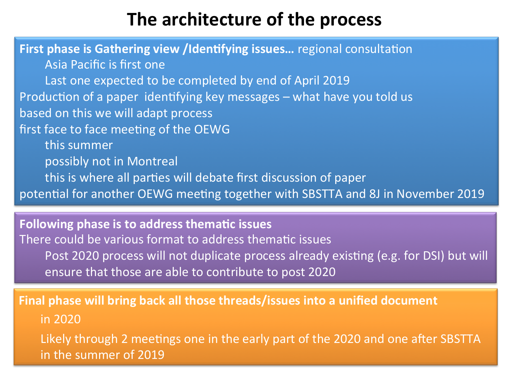## **The architecture of the process**

**First phase is Gathering view /Identifying issues...** regional consultation Asia Pacific is first one Last one expected to be completed by end of April 2019 Production of a paper identifying key messages – what have you told us based on this we will adapt process first face to face meeting of the OEWG this summer possibly not in Montreal this is where all parties will debate first discussion of paper potential for another OEWG meeting together with SBSTTA and 8J in November 2019

**Following phase is to address thematic issues** There could be various format to address thematic issues Post 2020 process will not duplicate process already existing (e.g. for DSI) but will ensure that those are able to contribute to post 2020

**Final phase will bring back all those threads/issues into a unified document** in 2020 

Likely through 2 meetings one in the early part of the 2020 and one after SBSTTA in the summer of 2019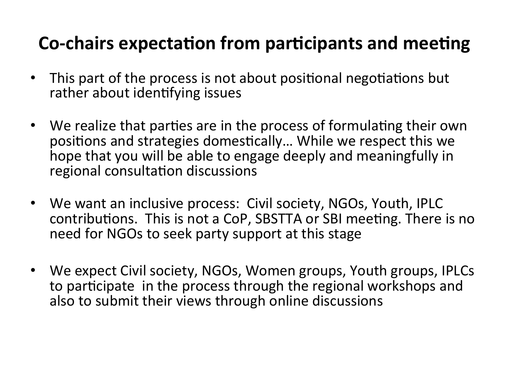# Co-chairs expectation from participants and meeting

- This part of the process is not about positional negotiations but rather about identifying issues
- We realize that parties are in the process of formulating their own positions and strategies domestically... While we respect this we hope that you will be able to engage deeply and meaningfully in regional consultation discussions
- We want an inclusive process: Civil society, NGOs, Youth, IPLC contributions. This is not a CoP, SBSTTA or SBI meeting. There is no need for NGOs to seek party support at this stage
- We expect Civil society, NGOs, Women groups, Youth groups, IPLCs to participate in the process through the regional workshops and also to submit their views through online discussions